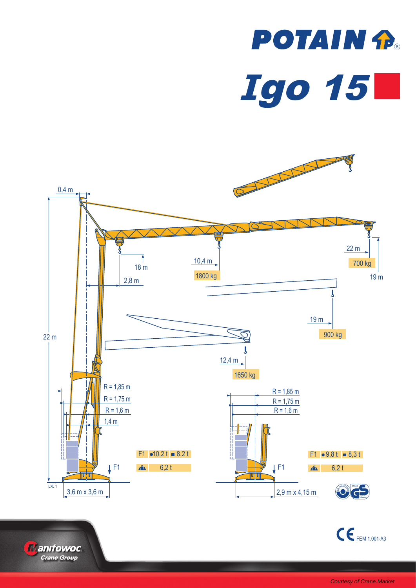





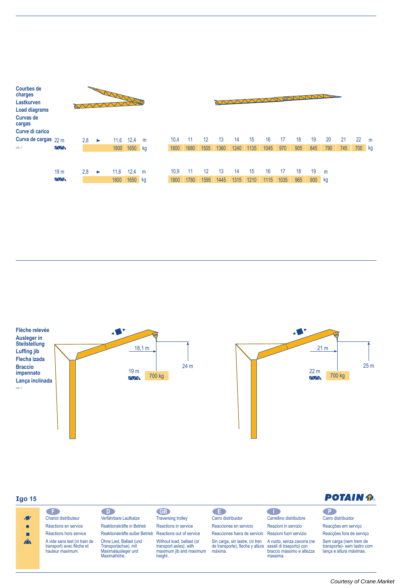| <b>Courbes de</b><br>charges<br>Lastkurven<br><b>Load diagrams</b><br><b>Curvas de</b><br>cargas<br>Curve di carico | March 1980       |     |   |      |         |     |  |      | <b>POLI</b><br>VVVVV |      |      |      |      |      |      |     |     |     |     |        |   |
|---------------------------------------------------------------------------------------------------------------------|------------------|-----|---|------|---------|-----|--|------|----------------------|------|------|------|------|------|------|-----|-----|-----|-----|--------|---|
| Curva de cargas $22 m$                                                                                              |                  | 2,8 | ► | 11,6 | 12,4    | m   |  | 10,4 | 11                   | 12   | 13   | 14   | 15   | 16   | 17   | 18  | 19  | 20  | 21  | 22     | m |
| LXL <sub>1</sub>                                                                                                    | $\sqrt{\sqrt{}}$ |     |   | 1800 | 1650 kg |     |  | 1800 | 1680                 | 1505 | 1360 | 1240 | 1135 | 1045 | 970  | 905 | 845 | 790 | 745 | 700 kg |   |
|                                                                                                                     | 19 <sub>m</sub>  | 2,8 | ► | 11,6 | 12,4    | m   |  | 10.9 | -11                  | 12   | 13   | 14   | 15   | 16   | 17   | 18  | 19  | m   |     |        |   |
|                                                                                                                     | $\sqrt{N}$       |     |   | 1800 | 1650    | ∣kg |  | 1800 | 1780                 | 1595 | 1445 | 1315 | 1210 | 1115 | 1035 | 965 | 900 | kg  |     |        |   |





## **Igo15**

### **F D GB E I P** Carro distribuidor  $\mathbf{A}$ Chariot distributeur Verfahrbare Laufkatze Traversing trolley Reaktionskräfte in Betrieb Réactions en service Reactions in service Reacciones en servicio  $\bullet$ Réactions hors service × Reaktionskräfte außer Betrieb Reactions out of service  $\mathbf{A}$ Ohne Last, Ballast (und Without load, ballast (or A vide sans lest (ni train de transport) avec flèche et hauteur maximum. Transportachse), mit Maximalausleger und Maximalhöhe. transport axles), with maximum jib and maximum height.

Carrellino distributore Reazioni in servizio

massima.

A vuoto, senza zavorra (ne

Reacciones fuera de servicio Reazioni fuori servizio

Sin carga, sin lastre, (ni tren de transporte), flecha y altura máxima. assali di trasporto) con braccio massimo e altezza

# **POTAIN P.**

Carro distribuidor Reacções em serviço Reacções fora de serviço

Sem carga (nem trem de transporte)- sem lastro com lança e altura máximas.

### [Courtesy of Crane.Market](https://crane.market)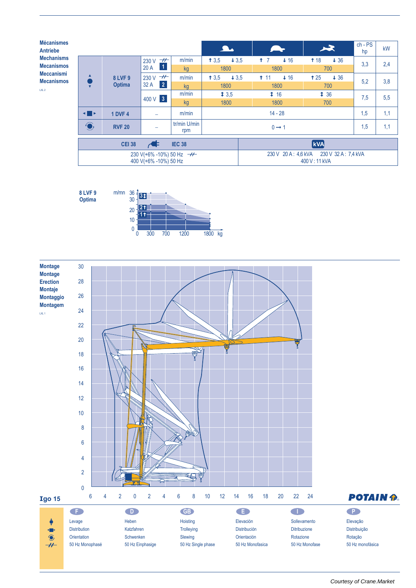**Mécanismes Antriebe Mechanisms Mecanismos Meccanismi Mecanismos**  $LXL<sub>2</sub>$ 

|                |                                 |                                                              |                     | $\overline{\mathbf{A}}$ |                                                          | 7. ST         |     | 一                          | $ch - PS$<br>hp | kW  |  |  |
|----------------|---------------------------------|--------------------------------------------------------------|---------------------|-------------------------|----------------------------------------------------------|---------------|-----|----------------------------|-----------------|-----|--|--|
|                | <b>8 LVF 9</b><br><b>Optima</b> | $\overline{\tau}$<br>230 V                                   | m/min               | 13.5<br>$+3.5$          | 17                                                       | $+16$         | 18  | $+36$                      | 3,3             | 2,4 |  |  |
|                |                                 | $\vert$ 1<br>20A                                             | kg                  | 1800                    |                                                          | 1800          |     | 700                        |                 |     |  |  |
| ▲              |                                 | $\overline{\phantom{a}}$<br>230 V                            | m/min               | 13.5<br>$+3,5$          | 11                                                       | $+16$         |     | 125<br>$+36$               |                 | 3,8 |  |  |
|                |                                 | $\vert 2 \vert$<br>32 A                                      | kg                  | 1800                    |                                                          | 1800          | 700 |                            | 5.2             |     |  |  |
|                |                                 | 400 V 3                                                      | m/min               | 13.5                    |                                                          | $\ddagger$ 16 |     | $\textbf{\textsterling}36$ |                 | 5,5 |  |  |
|                |                                 |                                                              | kg                  | 1800                    |                                                          | 1800          |     | 700                        |                 |     |  |  |
| $\blacksquare$ | m/min<br><b>1 DVF 4</b>         |                                                              |                     |                         | $14 - 28$                                                |               |     |                            |                 |     |  |  |
| $\bigodot$     | <b>RVF 20</b>                   |                                                              | tr/min U/min<br>rpm | $0 \rightarrow 1$       |                                                          |               |     |                            | 1,5             | 1,1 |  |  |
|                | <b>CEI 38</b>                   | $\blacktriangleleft$                                         | <b>IEC 38</b>       |                         | <b>kVA</b>                                               |               |     |                            |                 |     |  |  |
|                |                                 | 230 V(+6% -10%) 50 Hz $\rightarrow$<br>400 V(+6% -10%) 50 Hz |                     |                         | 230 V 20 A: 4,6 kVA 230 V 32 A: 7,4 kVA<br>400 V: 11 kVA |               |     |                            |                 |     |  |  |